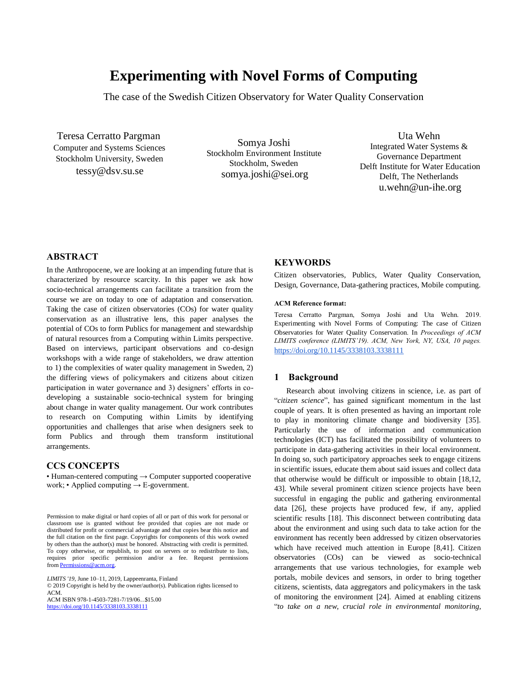# **Experimenting with Novel Forms of Computing**

The case of the Swedish Citizen Observatory for Water Quality Conservation

Teresa Cerratto Pargman Computer and Systems Sciences Stockholm University, Sweden tessy@dsv.su.se

Somya Joshi Stockholm Environment Institute Stockholm, Sweden somya.joshi@sei.org

Uta Wehn Integrated Water Systems & Governance Department Delft Institute for Water Education Delft, The Netherlands u.wehn@un-ihe.org

### **ABSTRACT**

In the Anthropocene, we are looking at an impending future that is characterized by resource scarcity. In this paper we ask how socio-technical arrangements can facilitate a transition from the course we are on today to one of adaptation and conservation. Taking the case of citizen observatories (COs) for water quality conservation as an illustrative lens, this paper analyses the potential of COs to form Publics for management and stewardship of natural resources from a Computing within Limits perspective. Based on interviews, participant observations and co-design workshops with a wide range of stakeholders, we draw attention to 1) the complexities of water quality management in Sweden, 2) the differing views of policymakers and citizens about citizen participation in water governance and 3) designers' efforts in codeveloping a sustainable socio-technical system for bringing about change in water quality management. Our work contributes to research on Computing within Limits by identifying opportunities and challenges that arise when designers seek to form Publics and through them transform institutional arrangements.

# **CCS CONCEPTS**

• Human-centered computing → Computer supported cooperative work; • Applied computing  $\rightarrow$  E-government.

*LIMITS '19,* June 10–11, 2019, Lappeenranta, Finland © 2019 Copyright is held by the owner/author(s). Publication rights licensed to ACM. ACM ISBN 978-1-4503-7281-7/19/06…\$15.00 <https://doi.org/10.1145/3338103.3338111>

### **KEYWORDS**

Citizen observatories, Publics, Water Quality Conservation, Design, Governance, Data-gathering practices, Mobile computing.

#### **ACM Reference format:**

Teresa Cerratto Pargman, Somya Joshi and Uta Wehn. 2019. Experimenting with Novel Forms of Computing: The case of Citizen Observatories for Water Quality Conservation. In *Proceedings of ACM LIMITS conference (LIMITS'19). ACM, New York, NY, USA, 10 pages.* <https://doi.org/10.1145/3338103.3338111>

### **1 Background**

Research about involving citizens in science, i.e. as part of "*citizen science*", has gained significant momentum in the last couple of years. It is often presented as having an important role to play in monitoring climate change and biodiversity [35]. Particularly the use of information and communication technologies (ICT) has facilitated the possibility of volunteers to participate in data-gathering activities in their local environment. In doing so, such participatory approaches seek to engage citizens in scientific issues, educate them about said issues and collect data that otherwise would be difficult or impossible to obtain [18,12, 43]. While several prominent citizen science projects have been successful in engaging the public and gathering environmental data [26], these projects have produced few, if any, applied scientific results [18]. This disconnect between contributing data about the environment and using such data to take action for the environment has recently been addressed by citizen observatories which have received much attention in Europe [8,41]. Citizen observatories (COs) can be viewed as socio-technical arrangements that use various technologies, for example web portals, mobile devices and sensors, in order to bring together citizens, scientists, data aggregators and policymakers in the task of monitoring the environment [24]. Aimed at enabling citizens "*to take on a new, crucial role in environmental monitoring,* 

Permission to make digital or hard copies of all or part of this work for personal or classroom use is granted without fee provided that copies are not made or distributed for profit or commercial advantage and that copies bear this notice and the full citation on the first page. Copyrights for components of this work owned by others than the author(s) must be honored. Abstracting with credit is permitted. To copy otherwise, or republish, to post on servers or to redistribute to lists, requires prior specific permission and/or a fee. Request permissions from [Permissions@acm.org.](mailto:Permissions@acm.org)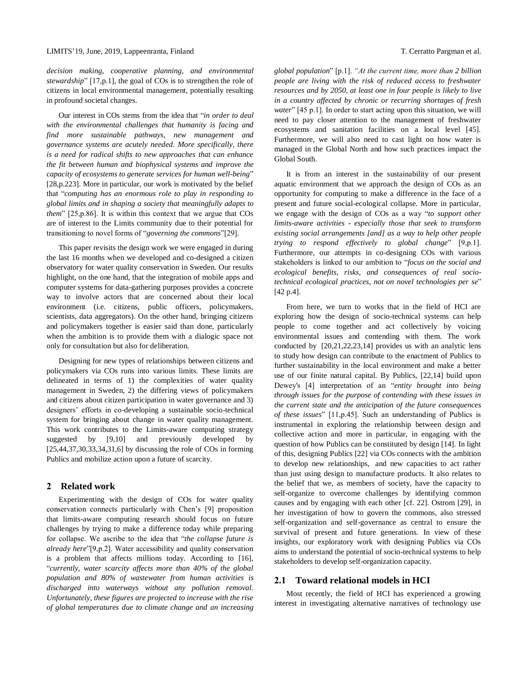#### LIMITS'19, June, 2019, Lappeenranta, Finland T. Cerratto Pargman et al.

*decision making, cooperative planning, and environmental stewardship*" [17,p.1], the goal of COs is to strengthen the role of citizens in local environmental management, potentially resulting in profound societal changes.

Our interest in COs stems from the idea that "*in order to deal with the environmental challenges that humanity is facing and find more sustainable pathways, new management and governance systems are acutely needed. More specifically, there is a need for radical shifts to new approaches that can enhance the fit between human and biophysical systems and improve the capacity of ecosystems to generate services for human well-being*" [28,p.223]. More in particular, our work is motivated by the belief that "*computing has an enormous role to play in responding to global limits and in shaping a society that meaningfully adapts to them*" [25,p.86]. It is within this context that we argue that COs are of interest to the Limits community due to their potential for transitioning to novel forms of "*governing the commons*"[29].

This paper revisits the design work we were engaged in during the last 16 months when we developed and co-designed a citizen observatory for water quality conservation in Sweden. Our results highlight, on the one hand, that the integration of mobile apps and computer systems for data-gathering purposes provides a concrete way to involve actors that are concerned about their local environment (i.e. citizens, public officers, policymakers, scientists, data aggregators). On the other hand, bringing citizens and policymakers together is easier said than done, particularly when the ambition is to provide them with a dialogic space not only for consultation but also for deliberation.

Designing for new types of relationships between citizens and policymakers via COs runs into various limits. These limits are delineated in terms of 1) the complexities of water quality management in Sweden, 2) the differing views of policymakers and citizens about citizen participation in water governance and 3) designers' efforts in co-developing a sustainable socio-technical system for bringing about change in water quality management. This work contributes to the Limits-aware computing strategy suggested by [9,10] and previously developed by [25,44,37,30,33,34,31,6] by discussing the role of COs in forming Publics and mobilize action upon a future of scarcity.

#### **2 Related work**

Experimenting with the design of COs for water quality conservation connects particularly with Chen's [9] proposition that limits-aware computing research should focus on future challenges by trying to make a difference today while preparing for collapse. We ascribe to the idea that "*the collapse future is already here*"[9,p.2]. Water accessibility and quality conservation is a problem that affects millions today. According to [16], "*currently, water scarcity affects more than 40% of the global population and 80% of wastewater from human activities is discharged into waterways without any pollution removal. Unfortunately, these figures are projected to increase with the rise of global temperatures due to climate change and an increasing* 

*global population*" [p.1]. *"At the current time, more than 2 billion people are living with the risk of reduced access to freshwater resources and by 2050, at least one in four people is likely to live in a country affected by chronic or recurring shortages of fresh water*" [45 p.1]. In order to start acting upon this situation, we will need to pay closer attention to the management of freshwater ecosystems and sanitation facilities on a local level [45]. Furthermore, we will also need to cast light on how water is managed in the Global North and how such practices impact the Global South.

It is from an interest in the sustainability of our present aquatic environment that we approach the design of COs as an opportunity for computing to make a difference in the face of a present and future social-ecological collapse. More in particular, we engage with the design of COs as a way "*to support other limits-aware activities - especially those that seek to transform existing social arrangements [and] as a way to help other people trying to respond effectively to global change*" [9,p.1]. Furthermore, our attempts in co-designing COs with various stakeholders is linked to our ambition to "*focus on the social and ecological benefits, risks, and consequences of real sociotechnical ecological practices, not on novel technologies per se*" [42 p.4].

From here, we turn to works that in the field of HCI are exploring how the design of socio-technical systems can help people to come together and act collectively by voicing environmental issues and contending with them. The work conducted by [20,21,22,23,14] provides us with an analytic lens to study how design can contribute to the enactment of Publics to further sustainability in the local environment and make a better use of our finite natural capital. By Publics, [22,14] build upon Dewey's [4] interpretation of an "*entity brought into being through issues for the purpose of contending with these issues in the current state and the anticipation of the future consequences of these issues*" [11,p.45]. Such an understanding of Publics is instrumental in exploring the relationship between design and collective action and more in particular, in engaging with the question of how Publics can be constituted by design [14]. In light of this, designing Publics [22] via COs connects with the ambition to develop new relationships, and new capacities to act rather than just using design to manufacture products. It also relates to the belief that we, as members of society, have the capacity to self-organize to overcome challenges by identifying common causes and by engaging with each other [cf. 22]. Ostrom [29], in her investigation of how to govern the commons, also stressed self-organization and self-governance as central to ensure the survival of present and future generations. In view of these insights, our exploratory work with designing Publics via COs aims to understand the potential of socio-technical systems to help stakeholders to develop self-organization capacity.

### **2.1 Toward relational models in HCI**

Most recently, the field of HCI has experienced a growing interest in investigating alternative narratives of technology use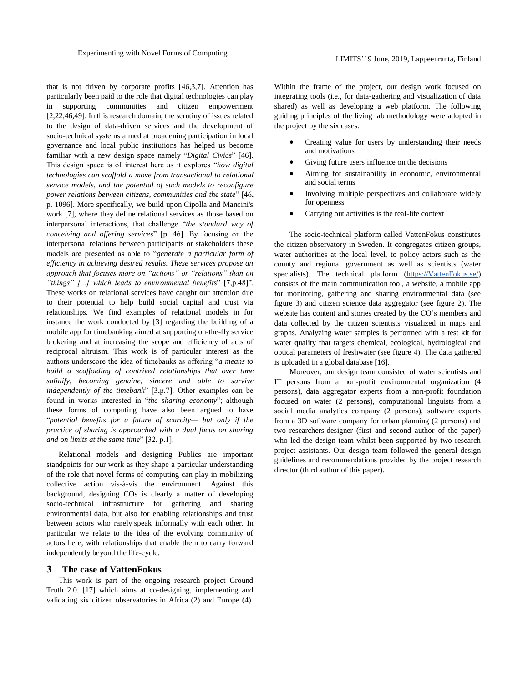that is not driven by corporate profits [46,3,7]. Attention has particularly been paid to the role that digital technologies can play in supporting communities and citizen empowerment [2,22,46,49]. In this research domain, the scrutiny of issues related to the design of data-driven services and the development of socio-technical systems aimed at broadening participation in local governance and local public institutions has helped us become familiar with a new design space namely "*Digital Civics*" [46]. This design space is of interest here as it explores "*how digital technologies can scaffold a move from transactional to relational service models, and the potential of such models to reconfigure power relations between citizens, communities and the state*" [46, p. 1096]. More specifically, we build upon Cipolla and Mancini's work [7], where they define relational services as those based on interpersonal interactions, that challenge "*the standard way of conceiving and offering services*" [p. 46]. By focusing on the interpersonal relations between participants or stakeholders these models are presented as able to "*generate a particular form of efficiency in achieving desired results. These services propose an approach that focuses more on "actions" or "relations" than on*  "things" [...] which leads to environmental benefits" [7,p.48]". These works on relational services have caught our attention due to their potential to help build social capital and trust via relationships. We find examples of relational models in for instance the work conducted by [3] regarding the building of a mobile app for timebanking aimed at supporting on-the-fly service brokering and at increasing the scope and efficiency of acts of reciprocal altruism. This work is of particular interest as the authors underscore the idea of timebanks as offering "*a means to build a scaffolding of contrived relationships that over time solidify, becoming genuine, sincere and able to survive independently of the timebank*" [3,p.7]. Other examples can be found in works interested in "*the sharing economy*"; although these forms of computing have also been argued to have "*potential benefits for a future of scarcity— but only if the practice of sharing is approached with a dual focus on sharing and on limits at the same time*" [32, p.1].

Relational models and designing Publics are important standpoints for our work as they shape a particular understanding of the role that novel forms of computing can play in mobilizing collective action vis-à-vis the environment. Against this background, designing COs is clearly a matter of developing socio-technical infrastructure for gathering and sharing environmental data, but also for enabling relationships and trust between actors who rarely speak informally with each other. In particular we relate to the idea of the evolving community of actors here, with relationships that enable them to carry forward independently beyond the life-cycle.

#### **3 The case of VattenFokus**

This work is part of the ongoing research project Ground Truth 2.0. [17] which aims at co-designing, implementing and validating six citizen observatories in Africa (2) and Europe (4).

Within the frame of the project, our design work focused on integrating tools (i.e., for data-gathering and visualization of data shared) as well as developing a web platform. The following guiding principles of the living lab methodology were adopted in the project by the six cases:

- Creating value for users by understanding their needs and motivations
- Giving future users influence on the decisions
- Aiming for sustainability in economic, environmental and social terms
- Involving multiple perspectives and collaborate widely for openness
- Carrying out activities is the real-life context

The socio-technical platform called VattenFokus constitutes the citizen observatory in Sweden. It congregates citizen groups, water authorities at the local level, to policy actors such as the county and regional government as well as scientists (water specialists). The technical platform [\(https://VattenFokus.se/\)](https://vattenfokus.se/) consists of the main communication tool, a website, a mobile app for monitoring, gathering and sharing environmental data (see figure 3) and citizen science data aggregator (see figure 2). The website has content and stories created by the CO's members and data collected by the citizen scientists visualized in maps and graphs. Analyzing water samples is performed with a test kit for water quality that targets chemical, ecological, hydrological and optical parameters of freshwater (see figure 4). The data gathered is uploaded in a global database [16].

Moreover, our design team consisted of water scientists and IT persons from a non-profit environmental organization (4 persons), data aggregator experts from a non-profit foundation focused on water (2 persons), computational linguists from a social media analytics company (2 persons), software experts from a 3D software company for urban planning (2 persons) and two researchers-designer (first and second author of the paper) who led the design team whilst been supported by two research project assistants. Our design team followed the general design guidelines and recommendations provided by the project research director (third author of this paper).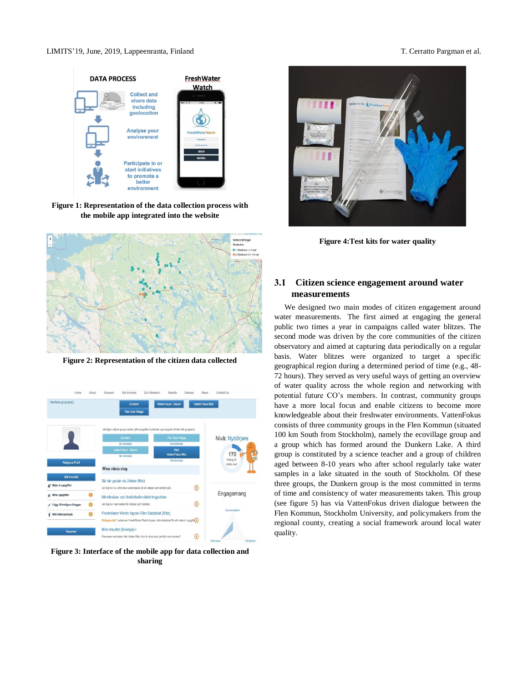

**Figure 1: Representation of the data collection process with the mobile app integrated into the website**



**Figure 2: Representation of the citizen data collected**



**Figure 3: Interface of the mobile app for data collection and sharing**



**Figure 4:Test kits for water quality**

# **3.1 Citizen science engagement around water measurements**

We designed two main modes of citizen engagement around water measurements. The first aimed at engaging the general public two times a year in campaigns called water blitzes. The second mode was driven by the core communities of the citizen observatory and aimed at capturing data periodically on a regular basis. Water blitzes were organized to target a specific geographical region during a determined period of time (e.g., 48- 72 hours). They served as very useful ways of getting an overview of water quality across the whole region and networking with potential future CO's members. In contrast, community groups have a more local focus and enable citizens to become more knowledgeable about their freshwater environments. VattenFokus consists of three community groups in the Flen Kommun (situated 100 km South from Stockholm), namely the ecovillage group and a group which has formed around the Dunkern Lake. A third group is constituted by a science teacher and a group of children aged between 8-10 years who after school regularly take water samples in a lake situated in the south of Stockholm. Of these three groups, the Dunkern group is the most committed in terms of time and consistency of water measurements taken. This group (see figure 5) has via VattenFokus driven dialogue between the Flen Kommun, Stockholm University, and policymakers from the regional county, creating a social framework around local water quality.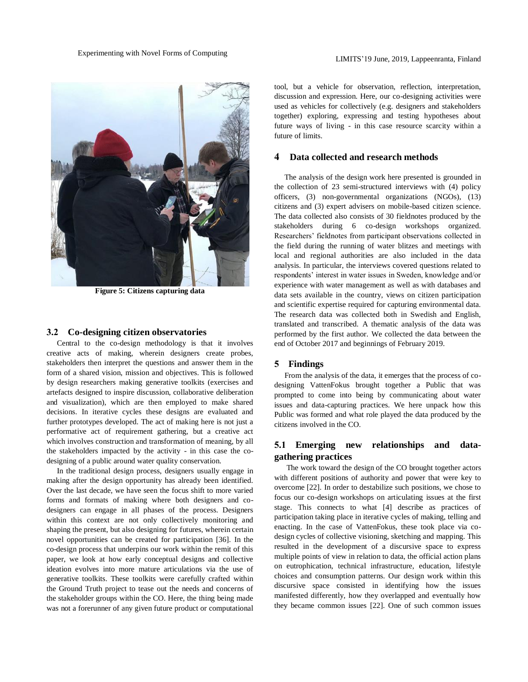

**Figure 5: Citizens capturing data**

### **3.2 Co-designing citizen observatories**

Central to the co-design methodology is that it involves creative acts of making, wherein designers create probes, stakeholders then interpret the questions and answer them in the form of a shared vision, mission and objectives. This is followed by design researchers making generative toolkits (exercises and artefacts designed to inspire discussion, collaborative deliberation and visualization), which are then employed to make shared decisions. In iterative cycles these designs are evaluated and further prototypes developed. The act of making here is not just a performative act of requirement gathering, but a creative act which involves construction and transformation of meaning, by all the stakeholders impacted by the activity - in this case the codesigning of a public around water quality conservation.

In the traditional design process, designers usually engage in making after the design opportunity has already been identified. Over the last decade, we have seen the focus shift to more varied forms and formats of making where both designers and codesigners can engage in all phases of the process. Designers within this context are not only collectively monitoring and shaping the present, but also designing for futures, wherein certain novel opportunities can be created for participation [36]. In the co-design process that underpins our work within the remit of this paper, we look at how early conceptual designs and collective ideation evolves into more mature articulations via the use of generative toolkits. These toolkits were carefully crafted within the Ground Truth project to tease out the needs and concerns of the stakeholder groups within the CO. Here, the thing being made was not a forerunner of any given future product or computational

tool, but a vehicle for observation, reflection, interpretation, discussion and expression. Here, our co-designing activities were used as vehicles for collectively (e.g. designers and stakeholders together) exploring, expressing and testing hypotheses about future ways of living - in this case resource scarcity within a future of limits.

### **4 Data collected and research methods**

The analysis of the design work here presented is grounded in the collection of 23 semi-structured interviews with (4) policy officers, (3) non-governmental organizations (NGOs), (13) citizens and (3) expert advisers on mobile-based citizen science. The data collected also consists of 30 fieldnotes produced by the stakeholders during 6 co-design workshops organized. Researchers' fieldnotes from participant observations collected in the field during the running of water blitzes and meetings with local and regional authorities are also included in the data analysis. In particular, the interviews covered questions related to respondents' interest in water issues in Sweden, knowledge and/or experience with water management as well as with databases and data sets available in the country, views on citizen participation and scientific expertise required for capturing environmental data. The research data was collected both in Swedish and English, translated and transcribed. A thematic analysis of the data was performed by the first author. We collected the data between the end of October 2017 and beginnings of February 2019.

#### **5 Findings**

From the analysis of the data, it emerges that the process of codesigning VattenFokus brought together a Public that was prompted to come into being by communicating about water issues and data-capturing practices. We here unpack how this Public was formed and what role played the data produced by the citizens involved in the CO.

# **5.1 Emerging new relationships and datagathering practices**

The work toward the design of the CO brought together actors with different positions of authority and power that were key to overcome [22]. In order to destabilize such positions, we chose to focus our co-design workshops on articulating issues at the first stage. This connects to what [4] describe as practices of participation taking place in iterative cycles of making, telling and enacting. In the case of VattenFokus, these took place via codesign cycles of collective visioning, sketching and mapping. This resulted in the development of a discursive space to express multiple points of view in relation to data, the official action plans on eutrophication, technical infrastructure, education, lifestyle choices and consumption patterns. Our design work within this discursive space consisted in identifying how the issues manifested differently, how they overlapped and eventually how they became common issues [22]. One of such common issues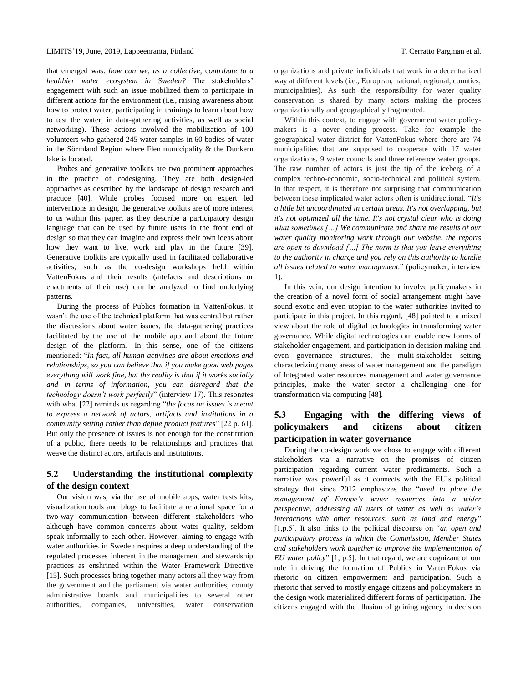that emerged was: *how can we, as a collective,* c*ontribute to a healthier water ecosystem in Sweden?* The stakeholders' engagement with such an issue mobilized them to participate in different actions for the environment (i.e., raising awareness about how to protect water, participating in trainings to learn about how to test the water, in data-gathering activities, as well as social networking). These actions involved the mobilization of 100 volunteers who gathered 245 water samples in 60 bodies of water in the Sörmland Region where Flen municipality & the Dunkern lake is located.

Probes and generative toolkits are two prominent approaches in the practice of codesigning. They are both design-led approaches as described by the landscape of design research and practice [40]. While probes focused more on expert led interventions in design, the generative toolkits are of more interest to us within this paper, as they describe a participatory design language that can be used by future users in the front end of design so that they can imagine and express their own ideas about how they want to live, work and play in the future [39]. Generative toolkits are typically used in facilitated collaborative activities, such as the co-design workshops held within VattenFokus and their results (artefacts and descriptions or enactments of their use) can be analyzed to find underlying patterns.

During the process of Publics formation in VattenFokus, it wasn't the use of the technical platform that was central but rather the discussions about water issues, the data-gathering practices facilitated by the use of the mobile app and about the future design of the platform. In this sense, one of the citizens mentioned: "*In fact, all human activities are about emotions and relationships, so you can believe that if you make good web pages everything will work fine, but the reality is that if it works socially and in terms of information, you can disregard that the technology doesn't work perfectly*" (interview 17). This resonates with what [22] reminds us regarding "*the focus on issues is meant to express a network of actors, artifacts and institutions in a community setting rather than define product features*" [22 p. 61]. But only the presence of issues is not enough for the constitution of a public, there needs to be relationships and practices that weave the distinct actors, artifacts and institutions.

# **5.2 Understanding the institutional complexity of the design context**

Our vision was, via the use of mobile apps, water tests kits, visualization tools and blogs to facilitate a relational space for a two-way communication between different stakeholders who although have common concerns about water quality, seldom speak informally to each other. However, aiming to engage with water authorities in Sweden requires a deep understanding of the regulated processes inherent in the management and stewardship practices as enshrined within the Water Framework Directive [15]. Such processes bring together many actors all they way from the government and the parliament via water authorities, county administrative boards and municipalities to several other authorities, companies, universities, water conservation

organizations and private individuals that work in a decentralized way at different levels (i.e., European, national, regional, counties, municipalities). As such the responsibility for water quality conservation is shared by many actors making the process organizationally and geographically fragmented.

Within this context, to engage with government water policymakers is a never ending process. Take for example the geographical water district for VattenFokus where there are 74 municipalities that are supposed to cooperate with 17 water organizations, 9 water councils and three reference water groups. The raw number of actors is just the tip of the iceberg of a complex techno-economic, socio-technical and political system. In that respect, it is therefore not surprising that communication between these implicated water actors often is unidirectional. "*It's a little bit uncoordinated in certain areas. It's not overlapping, but it's not optimized all the time. It's not crystal clear who is doing what sometimes […] We communicate and share the results of our water quality monitoring work through our website, the reports are open to download […] The norm is that you leave everything to the authority in charge and you rely on this authority to handle all issues related to water management.*" (policymaker, interview 1).

In this vein, our design intention to involve policymakers in the creation of a novel form of social arrangement might have sound exotic and even utopian to the water authorities invited to participate in this project. In this regard, [48] pointed to a mixed view about the role of digital technologies in transforming water governance. While digital technologies can enable new forms of stakeholder engagement, and participation in decision making and even governance structures, the multi-stakeholder setting characterizing many areas of water management and the paradigm of Integrated water resources management and water governance principles, make the water sector a challenging one for transformation via computing [48].

# **5.3 Engaging with the differing views of policymakers and citizens about citizen participation in water governance**

During the co-design work we chose to engage with different stakeholders via a narrative on the promises of citizen participation regarding current water predicaments. Such a narrative was powerful as it connects with the EU's political strategy that since 2012 emphasizes the "*need to place the management of Europe's water resources into a wider perspective, addressing all users of water as well as water's interactions with other resources, such as land and energy*" [1,p.5]. It also links to the political discourse on "*an open and participatory process in which the Commission, Member States and stakeholders work together to improve the implementation of EU water policy*" [1, p.5]. In that regard, we are cognizant of our role in driving the formation of Publics in VattenFokus via rhetoric on citizen empowerment and participation. Such a rhetoric that served to mostly engage citizens and policymakers in the design work materialized different forms of participation. The citizens engaged with the illusion of gaining agency in decision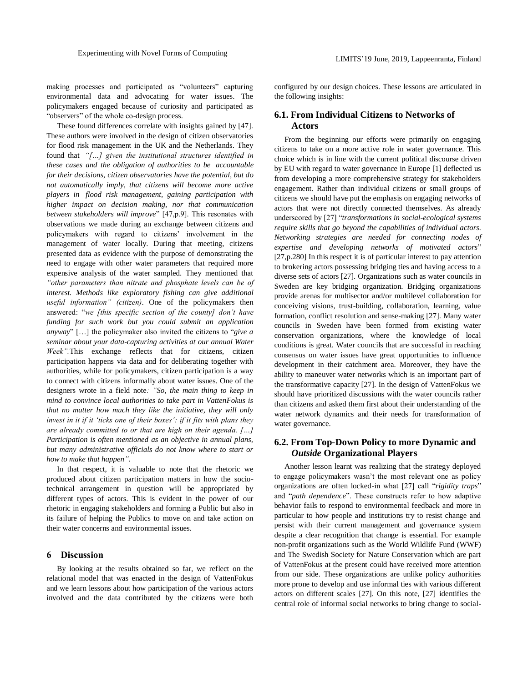making processes and participated as "volunteers" capturing environmental data and advocating for water issues. The policymakers engaged because of curiosity and participated as "observers" of the whole co-design process.

These found differences correlate with insights gained by [47]. These authors were involved in the design of citizen observatories for flood risk management in the UK and the Netherlands. They found that *"[…] given the institutional structures identified in these cases and the obligation of authorities to be accountable for their decisions, citizen observatories have the potential, but do not automatically imply, that citizens will become more active players in flood risk management, gaining participation with higher impact on decision making, nor that communication between stakeholders will improve*" [47,p.9]. This resonates with observations we made during an exchange between citizens and policymakers with regard to citizens' involvement in the management of water locally. During that meeting, citizens presented data as evidence with the purpose of demonstrating the need to engage with other water parameters that required more expensive analysis of the water sampled. They mentioned that *"other parameters than nitrate and phosphate levels can be of interest. Methods like exploratory fishing can give additional useful information" (citizen)*. One of the policymakers then answered: "*we [this specific section of the county] don't have funding for such work but you could submit an application anyway*" […] the policymaker also invited the citizens to "*give a seminar about your data-capturing activities at our annual Water Week".*This exchange reflects that for citizens, citizen participation happens via data and for deliberating together with authorities, while for policymakers, citizen participation is a way to connect with citizens informally about water issues. One of the designers wrote in a field note*: "So, the main thing to keep in mind to convince local authorities to take part in VattenFokus is that no matter how much they like the initiative, they will only invest in it if it 'ticks one of their boxes': if it fits with plans they are already committed to or that are high on their agenda. […] Participation is often mentioned as an objective in annual plans, but many administrative officials do not know where to start or how to make that happen"*.

In that respect, it is valuable to note that the rhetoric we produced about citizen participation matters in how the sociotechnical arrangement in question will be appropriated by different types of actors. This is evident in the power of our rhetoric in engaging stakeholders and forming a Public but also in its failure of helping the Publics to move on and take action on their water concerns and environmental issues.

### **6 Discussion**

By looking at the results obtained so far, we reflect on the relational model that was enacted in the design of VattenFokus and we learn lessons about how participation of the various actors involved and the data contributed by the citizens were both configured by our design choices. These lessons are articulated in the following insights:

## **6.1. From Individual Citizens to Networks of Actors**

From the beginning our efforts were primarily on engaging citizens to take on a more active role in water governance. This choice which is in line with the current political discourse driven by EU with regard to water governance in Europe [1] deflected us from developing a more comprehensive strategy for stakeholders engagement. Rather than individual citizens or small groups of citizens we should have put the emphasis on engaging networks of actors that were not directly connected themselves. As already underscored by [27] "*transformations in social-ecological systems require skills that go beyond the capabilities of individual actors. Networking strategies are needed for connecting nodes of expertise and developing networks of motivated actors*" [27,p.280] In this respect it is of particular interest to pay attention to brokering actors possessing bridging ties and having access to a diverse sets of actors [27]. Organizations such as water councils in Sweden are key bridging organization. Bridging organizations provide arenas for multisector and/or multilevel collaboration for conceiving visions, trust-building, collaboration, learning, value formation, conflict resolution and sense-making [27]. Many water councils in Sweden have been formed from existing water conservation organizations, where the knowledge of local conditions is great. Water councils that are successful in reaching consensus on water issues have great opportunities to influence development in their catchment area. Moreover, they have the ability to maneuver water networks which is an important part of the transformative capacity [27]. In the design of VattenFokus we should have prioritized discussions with the water councils rather than citizens and asked them first about their understanding of the water network dynamics and their needs for transformation of water governance.

# **6.2. From Top-Down Policy to more Dynamic and**  *Outside* **Organizational Players**

Another lesson learnt was realizing that the strategy deployed to engage policymakers wasn't the most relevant one as policy organizations are often locked-in what [27] call "*rigidity traps*" and "*path dependence*". These constructs refer to how adaptive behavior fails to respond to environmental feedback and more in particular to how people and institutions try to resist change and persist with their current management and governance system despite a clear recognition that change is essential. For example non-profit organizations such as the World Wildlife Fund (WWF) and The Swedish Society for Nature Conservation which are part of VattenFokus at the present could have received more attention from our side. These organizations are unlike policy authorities more prone to develop and use informal ties with various different actors on different scales [27]. On this note, [27] identifies the central role of informal social networks to bring change to social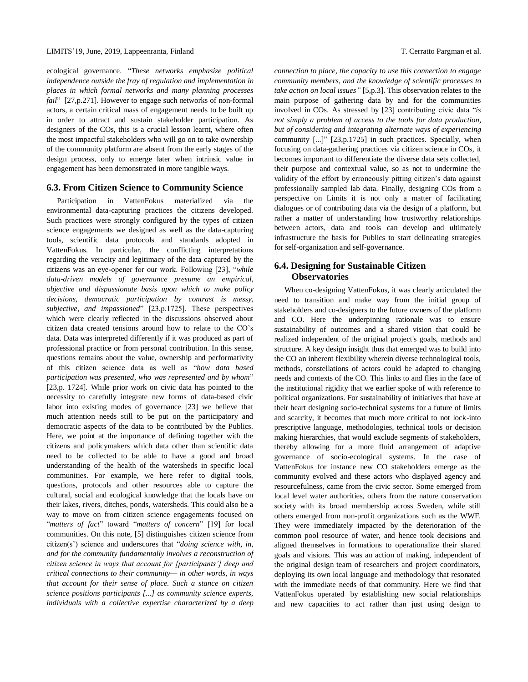ecological governance. "*These networks emphasize political independence outside the fray of regulation and implementation in places in which formal networks and many planning processes fail*" [27,p.271]. However to engage such networks of non-formal actors, a certain critical mass of engagement needs to be built up in order to attract and sustain stakeholder participation. As designers of the COs, this is a crucial lesson learnt, where often the most impactful stakeholders who will go on to take ownership of the community platform are absent from the early stages of the design process, only to emerge later when intrinsic value in engagement has been demonstrated in more tangible ways.

# **6.3. From Citizen Science to Community Science**

Participation in VattenFokus materialized via the environmental data-capturing practices the citizens developed. Such practices were strongly configured by the types of citizen science engagements we designed as well as the data-capturing tools, scientific data protocols and standards adopted in VattenFokus. In particular, the conflicting interpretations regarding the veracity and legitimacy of the data captured by the citizens was an eye-opener for our work. Following [23], "*while data-driven models of governance presume an empirical, objective and dispassionate basis upon which to make policy decisions, democratic participation by contrast is messy, subjective, and impassioned*" [23,p.1725]. These perspectives which were clearly reflected in the discussions observed about citizen data created tensions around how to relate to the CO's data. Data was interpreted differently if it was produced as part of professional practice or from personal contribution. In this sense, questions remains about the value, ownership and performativity of this citizen science data as well as "*how data based participation was presented, who was represented and by whom*" [23,p. 1724]. While prior work on civic data has pointed to the necessity to carefully integrate new forms of data-based civic labor into existing modes of governance [23] we believe that much attention needs still to be put on the participatory and democratic aspects of the data to be contributed by the Publics. Here, we point at the importance of defining together with the citizens and policymakers which data other than scientific data need to be collected to be able to have a good and broad understanding of the health of the watersheds in specific local communities. For example, we here refer to digital tools, questions, protocols and other resources able to capture the cultural, social and ecological knowledge that the locals have on their lakes, rivers, ditches, ponds, watersheds. This could also be a way to move on from citizen science engagements focused on "*matters of fact*" toward "*matters of concern*" [19] for local communities. On this note, [5] distinguishes citizen science from citizen(s') science and underscores that "*doing science with, in, and for the community fundamentally involves a reconstruction of citizen science in ways that account for [participants'] deep and critical connections to their community— in other words, in ways that account for their sense of place. Such a stance on citizen science positions participants [...] as community science experts, individuals with a collective expertise characterized by a deep* 

*connection to place, the capacity to use this connection to engage community members, and the knowledge of scientific processes to take action on local issues"* [5,p.3]. This observation relates to the main purpose of gathering data by and for the communities involved in COs. As stressed by [23] contributing civic data "*is not simply a problem of access to the tools for data production, but of considering and integrating alternate ways of experiencing*  community [...]" [23,p.1725] in such practices. Specially, when focusing on data-gathering practices via citizen science in COs, it becomes important to differentiate the diverse data sets collected, their purpose and contextual value, so as not to undermine the validity of the effort by erroneously pitting citizen's data against professionally sampled lab data. Finally, designing COs from a perspective on Limits it is not only a matter of facilitating dialogues or of contributing data via the design of a platform, but rather a matter of understanding how trustworthy relationships between actors, data and tools can develop and ultimately infrastructure the basis for Publics to start delineating strategies for self-organization and self-governance.

# **6.4. Designing for Sustainable Citizen Observatories**

When co-designing VattenFokus, it was clearly articulated the need to transition and make way from the initial group of stakeholders and co-designers to the future owners of the platform and CO. Here the underpinning rationale was to ensure sustainability of outcomes and a shared vision that could be realized independent of the original project's goals, methods and structure. A key design insight thus that emerged was to build into the CO an inherent flexibility wherein diverse technological tools, methods, constellations of actors could be adapted to changing needs and contexts of the CO. This links to and flies in the face of the institutional rigidity that we earlier spoke of with reference to political organizations. For sustainability of initiatives that have at their heart designing socio-technical systems for a future of limits and scarcity, it becomes that much more critical to not lock-into prescriptive language, methodologies, technical tools or decision making hierarchies, that would exclude segments of stakeholders, thereby allowing for a more fluid arrangement of adaptive governance of socio-ecological systems. In the case of VattenFokus for instance new CO stakeholders emerge as the community evolved and these actors who displayed agency and resourcefulness, came from the civic sector. Some emerged from local level water authorities, others from the nature conservation society with its broad membership across Sweden, while still others emerged from non-profit organizations such as the WWF. They were immediately impacted by the deterioration of the common pool resource of water, and hence took decisions and aligned themselves in formations to operationalize their shared goals and visions. This was an action of making, independent of the original design team of researchers and project coordinators, deploying its own local language and methodology that resonated with the immediate needs of that community. Here we find that VattenFokus operated by establishing new social relationships and new capacities to act rather than just using design to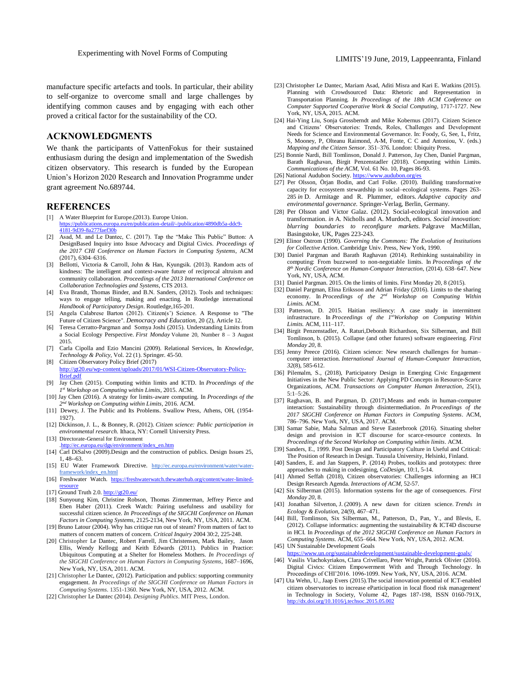manufacture specific artefacts and tools. In particular, their ability to self-organize to overcome small and large challenges by identifying common causes and by engaging with each other proved a critical factor for the sustainability of the CO.

### **ACKNOWLEDGMENTS**

We thank the participants of VattenFokus for their sustained enthusiasm during the design and implementation of the Swedish citizen observatory. This research is funded by the European Union's Horizon 2020 Research and Innovation Programme under grant agreement No.689744.

#### **REFERENCES**

- [1] A Water Blueprint for Europe.(2013). Europe Union. [https://publications.europa.eu/en/publication-detail/-/publication/4890db5a-ddc9-](https://publications.europa.eu/en/publication-detail/-/publication/4890db5a-ddc9-4181-9d39-8a277faef30b) [4181-9d39-8a277faef30b](https://publications.europa.eu/en/publication-detail/-/publication/4890db5a-ddc9-4181-9d39-8a277faef30b)
- [2] Asad, M. and Le Dantec, C. (2017). Tap the "Make This Public" Button: A DesignBased Inquiry into Issue Advocacy and Digital Civics. *Proceedings of the 2017 CHI Conference on Human Factors in Computing Systems*, ACM (2017), 6304–6316.
- [3] Bellotti, Victoria & Carroll, John & Han, Kyungsik. (2013). Random acts of kindness: The intelligent and context-aware future of reciprocal altruism and community collaboration. *Proceedings of the 2013 International Conference on Collaboration Technologies and Systems*, CTS 2013.
- [4] Eva Brandt, Thomas Binder, and B.N. Sanders, (2012). Tools and techniques: ways to engage telling, making and enacting. In Routledge international *Handbook of Participatory Design*. Routledge,165-201.
- Angela Calabrese Barton (2012). Citizen(s') Science. A Response to "The Future of Citizen Science". *Democracy and Education*, 20 (2), Article 12.
- [6] Teresa Cerratto-Pargman and Somya Joshi (2015). Understanding Limits from a Social Ecology Perspective. *First Monday* Volume 20, [Number](http://firstmonday.org/ojs/index.php/fm/issue/view/460) 8 – 3 August [2015](http://firstmonday.org/ojs/index.php/fm/issue/view/460).
- [7] Carla Cipolla and Ezio Mancini (2009). Relational Services, In *Knowledge, Technology & Policy*, Vol. 22 (1). Springer. 45-50.
- [8] Citizen Observatory Policy Brief (2017) [http://gt20.eu/wp-content/uploads/2017/01/WSI-Citizen-Observatory-Policy-](http://gt20.eu/wp-content/uploads/2017/01/WSI-Citizen-Observatory-Policy-Brief.pdf)[Brief.pdf](http://gt20.eu/wp-content/uploads/2017/01/WSI-Citizen-Observatory-Policy-Brief.pdf)
- [9] Jay Chen (2015). Computing within limits and ICTD. In *Proceedings of the 1 st Workshop on Computing within Limits*, 2015. ACM.
- [10] Jay Chen (2016). A strategy for limits-aware computing. In *Proceedings of the 2 nd Workshop on Computing within Limits*, 2016. ACM.
- [11] Dewey, J. The Public and Its Problems. Swallow Press, Athens, OH, (1954- 1927).
- [12] Dickinson, J. L., & Bonney, R. (2012). *Citizen science: Public participation in environmental research*. Ithaca, NY: Cornell University Press.
- [13] Directorate-General for Environment .eu/dgs/environment/index\_en.htm
- [14] Carl DiSalvo (2009). Design and the construction of publics. Design Issues 25, 1, 48--63.
- [15] EU Water Framework Directive. [http://ec.europa.eu/environment/water/water](http://ec.europa.eu/environment/water/water-framework/index_en.html)[framework/index\\_en.html](http://ec.europa.eu/environment/water/water-framework/index_en.html)
- [16] Freshwater Watch. [https://freshwaterwatch.thewaterhub.org/content/water-limited](https://freshwaterwatch.thewaterhub.org/content/water-limited-resource)[resource](https://freshwaterwatch.thewaterhub.org/content/water-limited-resource)
- [17] Ground Truth 2.0[. http://gt20.eu/](http://gt20.eu/)
- [18] Sunyoung Kim, Christine Robson, Thomas Zimmerman, Jeffrey Pierce and Eben Haber (2011). Creek Watch: Pairing usefulness and usability for successful citizen science. *In Proceedings of the SIGCHI Conference on Human Factors in Computing Systems*, 2125-2134, New York, NY, USA, 2011. ACM.
- [19] Bruno Latour (2004). Why has critique run out of steam? From matters of fact to matters of concern matters of concern. *Critical Inquiry* 2004 30:2, 225-248.
- [20] Christopher Le Dantec, Robert Farrell, Jim Christensen, Mark Bailey, Jason Ellis, Wendy Kellogg and Keith Edwards (2011). Publics in Practice: Ubiquitous Computing at a Shelter for Homeless Mothers. *In Proceedings of the SIGCHI Conference on Human Factors in Computing Systems*, 1687–1696, New York, NY, USA, 2011. ACM.
- [21] Christopher Le Dantec, (2012). Participation and publics: supporting community engagement. *In Proceedings of the SIGCHI Conference on Human Factors in Computing Systems*. 1351-1360. New York, NY, USA, 2012. ACM.
- [22] Christopher Le Dantec (2014). *Designing Publics*. MIT Press, London.
- [23] Christopher Le Dantec, Mariam Asad, Aditi Misra and Kari E. Watkins (2015). Planning with Crowdsourced Data: Rhetoric and Representation in Transportation Planning. *In Proceedings of the 18th ACM Conference on Computer Supported Cooperative Work & Social Computing*, 1717-1727. New York, NY, USA, 2015. ACM.
- [24] Hai-Ying Liu, Sonja Grossberndt and Mike Kobernus (2017). Citizen Science and Citizens' Observatories: Trends, Roles, Challenges and Development Needs for Science and Environmental Governance. In: Foody, G, See, L, Fritz, S, Mooney, P, Olteanu Raimond, A-M, Fonte, C C and Antoniou, V. (eds.) *Mapping and the Citizen Sensor*. 351–376. London: Ubiquity Press.
- [25] Bonnie Nardi, Bill Tomlinson, Donald J. Patterson, Jay Chen, Daniel Pargman, Barath Raghavan, Birgit Penzenstadler (2018). Computing within Limits. *Communications of the ACM*, Vol. 61 No. 10, Pages 86-93.
- [26] National Audubon Society[. https://www.audubon.org/es](https://www.audubon.org/es)
- [27] Per Olsson, Örjan Bodin, and Carl Folke. (2010). Building transformative capacity for ecosystem stewardship in social–ecological systems. Pages 263- 285 *in* D. Armitage and R. Plummer, editors. *Adaptive capacity and environmental governance.* Springer-Verlag, Berlin, Germany.
- [28] Per Olsson and Victor Galaz. (2012). Social-ecological innovation and transformation. *in* A. Nicholls and A. Murdoch, editors. *Social innovation: blurring boundaries to reconfigure markets.* Palgrave MacMillan, Basingstoke, UK, Pages 223-243.
- [29] Elinor Ostrom (1990). *Governing the Commons: The Evolution of Institutions for Collective Action*. Cambridge Univ. Press, New York, 1990.
- [30] Daniel Pargman and Barath Raghavan (2014). Rethinking sustainability in computing: From buzzword to non-negotiable limits. In *Proceedings of the 8 th Nordic Conference on Human-Computer Interaction*, (2014). 638–647. New York, NY, USA, ACM.
- [31] Daniel Pargman. 2015. On the limits of limits. First Monday 20, 8 (2015).
- [32] Daniel Pargman, Elina Eriksson and Adrian Friday (2016). Limits to the sharing economy. In *Proceedings of the 2nd Workshop on Computing Within Limits.* ACM.
- [33] Patterson, D. 2015. Haitian resiliency: A case study in intermittent infrastructure. In *Proceedings of the 1stWorkshop on Computing Within Limits.* ACM, 111–117.
- [34] Birgit Penzenstadler, A. Raturi,Deborah Richardson, Six Silberman, and Bill Tomlinson, b. (2015). Collapse (and other futures) software engineering. *First Monday 20*, 8.
- [35] Jenny Preece (2016). Citizen science: New research challenges for humancomputer interaction. *International Journal of Human-Computer Interaction, 32*(8), 585-612.
- [36] Pilemalm, S., (2018), Participatory Design in Emerging Civic Engagement Initiatives in the New Public Sector: Applying PD Concepts in Resource-Scarce Organizations, ACM. *Transactions on Computer Human Interaction*, 25(1), 5:1–5:26.
- [37] Raghavan, B. and Pargman, D. (2017).Means and ends in human-computer interaction: Sustainability through disintermediation. *In Proceedings of the 2017 SIGCHI Conference on Human Factors in Computing Systems*. ACM, 786–796. New York, NY, USA, 2017. ACM.
- [38] Samar Sabie, Maha Salman and Steve Easterbrook (2016). Situating shelter design and provision in ICT discourse for scarce-resource contexts. In *Proceedings of the Second Workshop on Computing within limits*. ACM.
- [39] Sanders, E., 1999. Post Design and Participatory Culture in Useful and Critical: The Position of Research in Design. Tuusula University, Helsinki, Finland.
- [40] Sanders, E. and Jan Stappers, P. (2014) Probes, toolkits and prototypes: three approaches to making in codesigning, *CoDesign*, 10:1, 5-14.
- [41] Ahmed Seffah (2018), Citizen observatories: Challenges informing an HCI Design Research Agenda. *Interactions of ACM*, 52-57.
- [42] Six Silberman (2015). Information systems for the age of consequences. *First Monday 20*, 8.
- [43] Jonathan Silverton, J. (2009). A new dawn for citizen science. *Trends in Ecology & Evolution*, 24(9), 467–471.
- [44] Bill, Tomlinson, Six Silberman, M., Patterson, D., Pan, Y., and Blevis, E. (2012). Collapse informatics: augmenting the sustainability & ICT4D discourse in HCI. In *Proceedings of the 2012 SIGCHI Conference on Human Factors in Computing Systems.* ACM, 655–664. New York, NY, USA, 2012. ACM.
- [45] UN Sustainable Development Goals <https://www.un.org/sustainabledevelopment/sustainable-development-goals/>
- [46] [Vasilis Vlachokyriakos,](https://eprint.ncl.ac.uk/author_pubs.aspx?author_id=152842) [Clara Crivellaro,](https://eprint.ncl.ac.uk/author_pubs.aspx?author_id=211807) [Peter Wright,](https://eprint.ncl.ac.uk/author_pubs.aspx?author_id=119366) [Patrick Olivier](https://eprint.ncl.ac.uk/author_pubs.aspx?author_id=86533) (2016). Digital Civics: Citizen Empowerment With and Through Technology. In Proceedings of CHI'2016. 1096-1099. New York, NY, USA, 2016. ACM.
- [47] Uta Wehn, U., Jaap Evers (2015).The social innovation potential of ICT-enabled citizen observatories to increase eParticipation in local flood risk management' in Technology in Society, Volume 42, Pages 187-198, ISSN 0160-791X, <http://dx.doi.org/10.1016/j.techsoc.2015.05.002>